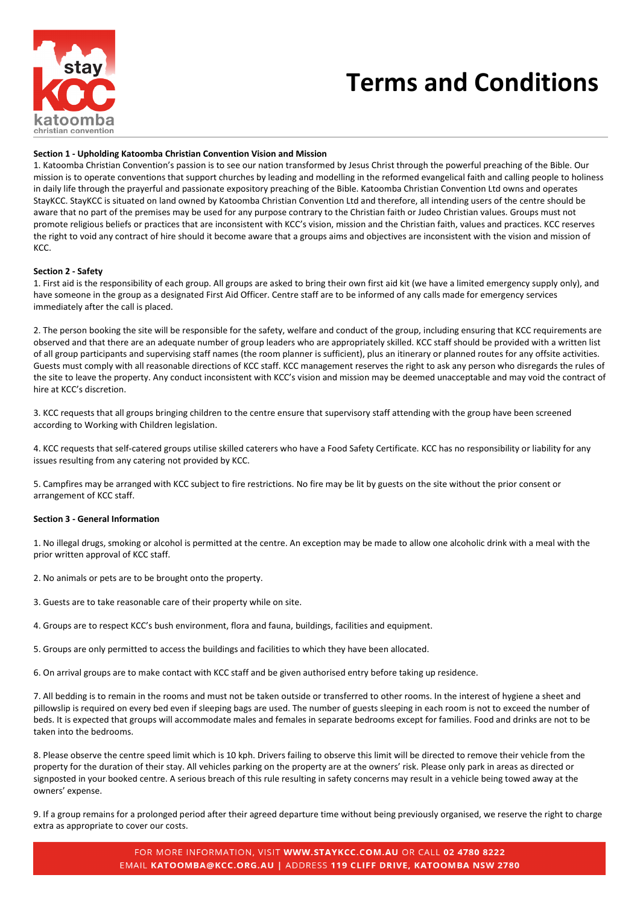

# **Terms and Conditions**

## **Section 1 - Upholding Katoomba Christian Convention Vision and Mission**

1. Katoomba Christian Convention's passion is to see our nation transformed by Jesus Christ through the powerful preaching of the Bible. Our mission is to operate conventions that support churches by leading and modelling in the reformed evangelical faith and calling people to holiness in daily life through the prayerful and passionate expository preaching of the Bible. Katoomba Christian Convention Ltd owns and operates StayKCC. StayKCC is situated on land owned by Katoomba Christian Convention Ltd and therefore, all intending users of the centre should be aware that no part of the premises may be used for any purpose contrary to the Christian faith or Judeo Christian values. Groups must not promote religious beliefs or practices that are inconsistent with KCC's vision, mission and the Christian faith, values and practices. KCC reserves the right to void any contract of hire should it become aware that a groups aims and objectives are inconsistent with the vision and mission of KCC.

#### **Section 2 - Safety**

1. First aid is the responsibility of each group. All groups are asked to bring their own first aid kit (we have a limited emergency supply only), and have someone in the group as a designated First Aid Officer. Centre staff are to be informed of any calls made for emergency services immediately after the call is placed.

2. The person booking the site will be responsible for the safety, welfare and conduct of the group, including ensuring that KCC requirements are observed and that there are an adequate number of group leaders who are appropriately skilled. KCC staff should be provided with a written list of all group participants and supervising staff names (the room planner is sufficient), plus an itinerary or planned routes for any offsite activities. Guests must comply with all reasonable directions of KCC staff. KCC management reserves the right to ask any person who disregards the rules of the site to leave the property. Any conduct inconsistent with KCC's vision and mission may be deemed unacceptable and may void the contract of hire at KCC's discretion.

3. KCC requests that all groups bringing children to the centre ensure that supervisory staff attending with the group have been screened according to Working with Children legislation.

4. KCC requests that self-catered groups utilise skilled caterers who have a Food Safety Certificate. KCC has no responsibility or liability for any issues resulting from any catering not provided by KCC.

5. Campfires may be arranged with KCC subject to fire restrictions. No fire may be lit by guests on the site without the prior consent or arrangement of KCC staff.

#### **Section 3 - General Information**

1. No illegal drugs, smoking or alcohol is permitted at the centre. An exception may be made to allow one alcoholic drink with a meal with the prior written approval of KCC staff.

2. No animals or pets are to be brought onto the property.

- 3. Guests are to take reasonable care of their property while on site.
- 4. Groups are to respect KCC's bush environment, flora and fauna, buildings, facilities and equipment.
- 5. Groups are only permitted to access the buildings and facilities to which they have been allocated.
- 6. On arrival groups are to make contact with KCC staff and be given authorised entry before taking up residence.

7. All bedding is to remain in the rooms and must not be taken outside or transferred to other rooms. In the interest of hygiene a sheet and pillowslip is required on every bed even if sleeping bags are used. The number of guests sleeping in each room is not to exceed the number of beds. It is expected that groups will accommodate males and females in separate bedrooms except for families. Food and drinks are not to be taken into the bedrooms.

8. Please observe the centre speed limit which is 10 kph. Drivers failing to observe this limit will be directed to remove their vehicle from the property for the duration of their stay. All vehicles parking on the property are at the owners' risk. Please only park in areas as directed or signposted in your booked centre. A serious breach of this rule resulting in safety concerns may result in a vehicle being towed away at the owners' expense.

9. If a group remains for a prolonged period after their agreed departure time without being previously organised, we reserve the right to charge extra as appropriate to cover our costs.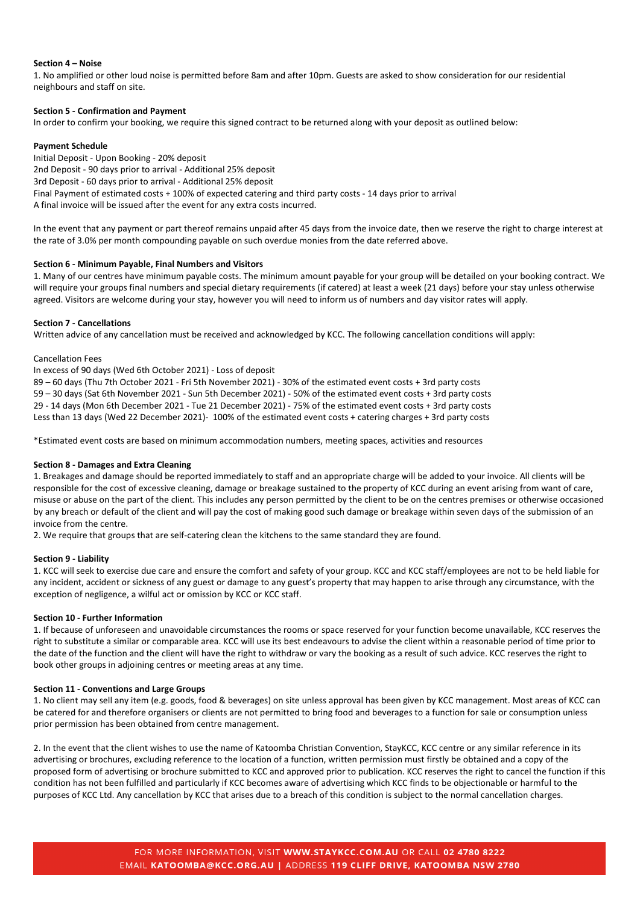## **Section 4 – Noise**

1. No amplified or other loud noise is permitted before 8am and after 10pm. Guests are asked to show consideration for our residential neighbours and staff on site.

## **Section 5 - Confirmation and Payment**

In order to confirm your booking, we require this signed contract to be returned along with your deposit as outlined below:

# **Payment Schedule**

Initial Deposit - Upon Booking - 20% deposit 2nd Deposit - 90 days prior to arrival - Additional 25% deposit 3rd Deposit - 60 days prior to arrival - Additional 25% deposit Final Payment of estimated costs + 100% of expected catering and third party costs - 14 days prior to arrival A final invoice will be issued after the event for any extra costs incurred.

In the event that any payment or part thereof remains unpaid after 45 days from the invoice date, then we reserve the right to charge interest at the rate of 3.0% per month compounding payable on such overdue monies from the date referred above.

# **Section 6 - Minimum Payable, Final Numbers and Visitors**

1. Many of our centres have minimum payable costs. The minimum amount payable for your group will be detailed on your booking contract. We will require your groups final numbers and special dietary requirements (if catered) at least a week (21 days) before your stay unless otherwise agreed. Visitors are welcome during your stay, however you will need to inform us of numbers and day visitor rates will apply.

## **Section 7 - Cancellations**

Written advice of any cancellation must be received and acknowledged by KCC. The following cancellation conditions will apply:

## Cancellation Fees

In excess of 90 days (Wed 6th October 2021) - Loss of deposit

89 – 60 days (Thu 7th October 2021 - Fri 5th November 2021) - 30% of the estimated event costs + 3rd party costs 59 – 30 days (Sat 6th November 2021 - Sun 5th December 2021) - 50% of the estimated event costs + 3rd party costs

29 - 14 days (Mon 6th December 2021 - Tue 21 December 2021) - 75% of the estimated event costs + 3rd party costs

Less than 13 days (Wed 22 December 2021)- 100% of the estimated event costs + catering charges + 3rd party costs

\*Estimated event costs are based on minimum accommodation numbers, meeting spaces, activities and resources

## **Section 8 - Damages and Extra Cleaning**

1. Breakages and damage should be reported immediately to staff and an appropriate charge will be added to your invoice. All clients will be responsible for the cost of excessive cleaning, damage or breakage sustained to the property of KCC during an event arising from want of care, misuse or abuse on the part of the client. This includes any person permitted by the client to be on the centres premises or otherwise occasioned by any breach or default of the client and will pay the cost of making good such damage or breakage within seven days of the submission of an invoice from the centre.

2. We require that groups that are self-catering clean the kitchens to the same standard they are found.

# **Section 9 - Liability**

1. KCC will seek to exercise due care and ensure the comfort and safety of your group. KCC and KCC staff/employees are not to be held liable for any incident, accident or sickness of any guest or damage to any guest's property that may happen to arise through any circumstance, with the exception of negligence, a wilful act or omission by KCC or KCC staff.

## **Section 10 - Further Information**

1. If because of unforeseen and unavoidable circumstances the rooms or space reserved for your function become unavailable, KCC reserves the right to substitute a similar or comparable area. KCC will use its best endeavours to advise the client within a reasonable period of time prior to the date of the function and the client will have the right to withdraw or vary the booking as a result of such advice. KCC reserves the right to book other groups in adjoining centres or meeting areas at any time.

## **Section 11 - Conventions and Large Groups**

1. No client may sell any item (e.g. goods, food & beverages) on site unless approval has been given by KCC management. Most areas of KCC can be catered for and therefore organisers or clients are not permitted to bring food and beverages to a function for sale or consumption unless prior permission has been obtained from centre management.

2. In the event that the client wishes to use the name of Katoomba Christian Convention, StayKCC, KCC centre or any similar reference in its advertising or brochures, excluding reference to the location of a function, written permission must firstly be obtained and a copy of the proposed form of advertising or brochure submitted to KCC and approved prior to publication. KCC reserves the right to cancel the function if this condition has not been fulfilled and particularly if KCC becomes aware of advertising which KCC finds to be objectionable or harmful to the purposes of KCC Ltd. Any cancellation by KCC that arises due to a breach of this condition is subject to the normal cancellation charges.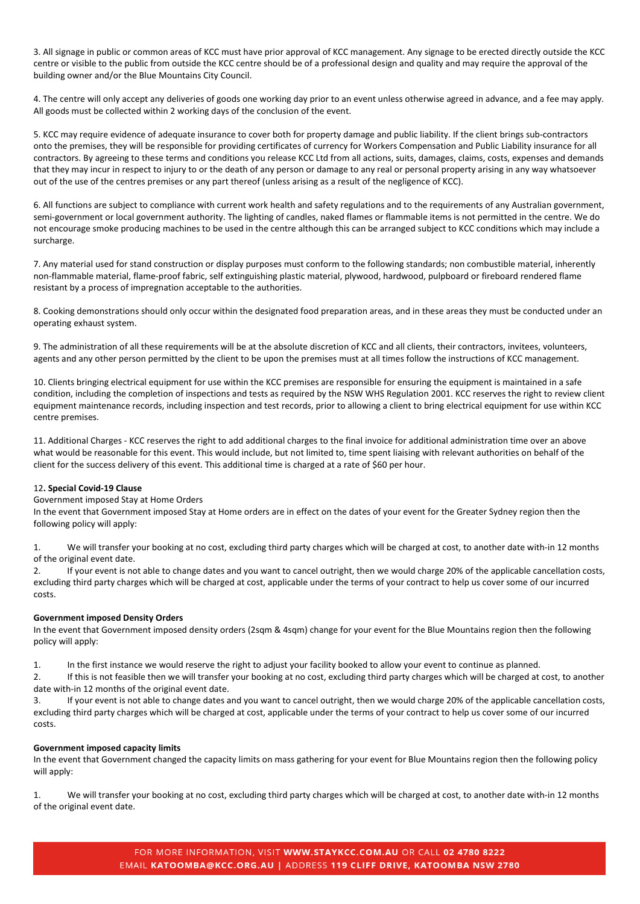3. All signage in public or common areas of KCC must have prior approval of KCC management. Any signage to be erected directly outside the KCC centre or visible to the public from outside the KCC centre should be of a professional design and quality and may require the approval of the building owner and/or the Blue Mountains City Council.

4. The centre will only accept any deliveries of goods one working day prior to an event unless otherwise agreed in advance, and a fee may apply. All goods must be collected within 2 working days of the conclusion of the event.

5. KCC may require evidence of adequate insurance to cover both for property damage and public liability. If the client brings sub-contractors onto the premises, they will be responsible for providing certificates of currency for Workers Compensation and Public Liability insurance for all contractors. By agreeing to these terms and conditions you release KCC Ltd from all actions, suits, damages, claims, costs, expenses and demands that they may incur in respect to injury to or the death of any person or damage to any real or personal property arising in any way whatsoever out of the use of the centres premises or any part thereof (unless arising as a result of the negligence of KCC).

6. All functions are subject to compliance with current work health and safety regulations and to the requirements of any Australian government, semi-government or local government authority. The lighting of candles, naked flames or flammable items is not permitted in the centre. We do not encourage smoke producing machines to be used in the centre although this can be arranged subject to KCC conditions which may include a surcharge.

7. Any material used for stand construction or display purposes must conform to the following standards; non combustible material, inherently non-flammable material, flame-proof fabric, self extinguishing plastic material, plywood, hardwood, pulpboard or fireboard rendered flame resistant by a process of impregnation acceptable to the authorities.

8. Cooking demonstrations should only occur within the designated food preparation areas, and in these areas they must be conducted under an operating exhaust system.

9. The administration of all these requirements will be at the absolute discretion of KCC and all clients, their contractors, invitees, volunteers, agents and any other person permitted by the client to be upon the premises must at all times follow the instructions of KCC management.

10. Clients bringing electrical equipment for use within the KCC premises are responsible for ensuring the equipment is maintained in a safe condition, including the completion of inspections and tests as required by the NSW WHS Regulation 2001. KCC reserves the right to review client equipment maintenance records, including inspection and test records, prior to allowing a client to bring electrical equipment for use within KCC centre premises.

11. Additional Charges - KCC reserves the right to add additional charges to the final invoice for additional administration time over an above what would be reasonable for this event. This would include, but not limited to, time spent liaising with relevant authorities on behalf of the client for the success delivery of this event. This additional time is charged at a rate of \$60 per hour.

## 12**. Special Covid-19 Clause**

## Government imposed Stay at Home Orders

In the event that Government imposed Stay at Home orders are in effect on the dates of your event for the Greater Sydney region then the following policy will apply:

1. We will transfer your booking at no cost, excluding third party charges which will be charged at cost, to another date with-in 12 months of the original event date.

2. If your event is not able to change dates and you want to cancel outright, then we would charge 20% of the applicable cancellation costs, excluding third party charges which will be charged at cost, applicable under the terms of your contract to help us cover some of our incurred costs.

## **Government imposed Density Orders**

In the event that Government imposed density orders (2sqm & 4sqm) change for your event for the Blue Mountains region then the following policy will apply:

1. In the first instance we would reserve the right to adjust your facility booked to allow your event to continue as planned.

2. If this is not feasible then we will transfer your booking at no cost, excluding third party charges which will be charged at cost, to another date with-in 12 months of the original event date.

3. If your event is not able to change dates and you want to cancel outright, then we would charge 20% of the applicable cancellation costs, excluding third party charges which will be charged at cost, applicable under the terms of your contract to help us cover some of our incurred costs.

## **Government imposed capacity limits**

In the event that Government changed the capacity limits on mass gathering for your event for Blue Mountains region then the following policy will apply:

1. We will transfer your booking at no cost, excluding third party charges which will be charged at cost, to another date with-in 12 months of the original event date.